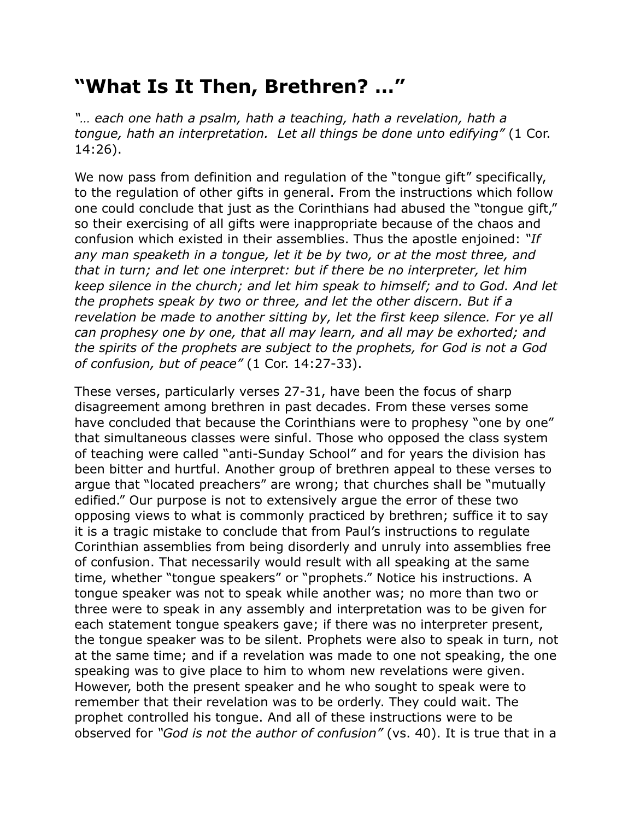## **"What Is It Then, Brethren? …"**

*"… each one hath a psalm, hath a teaching, hath a revelation, hath a tongue, hath an interpretation. Let all things be done unto edifying"* (1 Cor. 14:26).

We now pass from definition and regulation of the "tongue gift" specifically, to the regulation of other gifts in general. From the instructions which follow one could conclude that just as the Corinthians had abused the "tongue gift," so their exercising of all gifts were inappropriate because of the chaos and confusion which existed in their assemblies. Thus the apostle enjoined: *"If any man speaketh in a tongue, let it be by two, or at the most three, and that in turn; and let one interpret: but if there be no interpreter, let him keep silence in the church; and let him speak to himself; and to God. And let the prophets speak by two or three, and let the other discern. But if a revelation be made to another sitting by, let the first keep silence. For ye all can prophesy one by one, that all may learn, and all may be exhorted; and the spirits of the prophets are subject to the prophets, for God is not a God of confusion, but of peace"* (1 Cor. 14:27-33).

These verses, particularly verses 27-31, have been the focus of sharp disagreement among brethren in past decades. From these verses some have concluded that because the Corinthians were to prophesy "one by one" that simultaneous classes were sinful. Those who opposed the class system of teaching were called "anti-Sunday School" and for years the division has been bitter and hurtful. Another group of brethren appeal to these verses to argue that "located preachers" are wrong; that churches shall be "mutually edified." Our purpose is not to extensively argue the error of these two opposing views to what is commonly practiced by brethren; suffice it to say it is a tragic mistake to conclude that from Paul's instructions to regulate Corinthian assemblies from being disorderly and unruly into assemblies free of confusion. That necessarily would result with all speaking at the same time, whether "tongue speakers" or "prophets." Notice his instructions. A tongue speaker was not to speak while another was; no more than two or three were to speak in any assembly and interpretation was to be given for each statement tongue speakers gave; if there was no interpreter present, the tongue speaker was to be silent. Prophets were also to speak in turn, not at the same time; and if a revelation was made to one not speaking, the one speaking was to give place to him to whom new revelations were given. However, both the present speaker and he who sought to speak were to remember that their revelation was to be orderly. They could wait. The prophet controlled his tongue. And all of these instructions were to be observed for *"God is not the author of confusion"* (vs. 40). It is true that in a